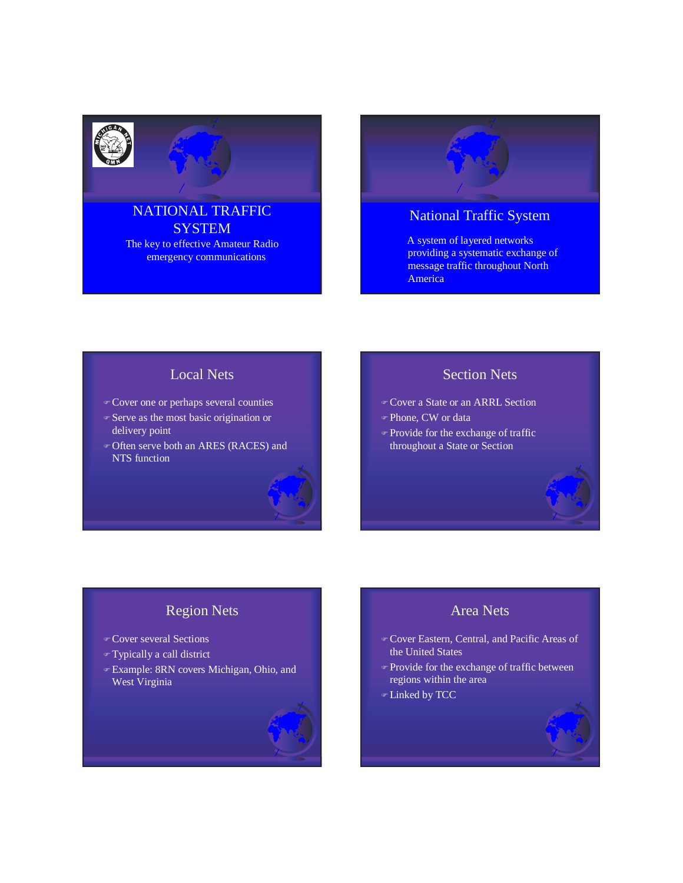

### NATIONAL TRAFFIC **SYSTEM** The key to effective Amateur Radio emergency communications

## National Traffic System

A system of layered networks providing a systematic exchange of message traffic throughout North America

#### Local Nets

- Cover one or perhaps several counties
- Serve as the most basic origination or delivery point
- Often serve both an ARES (RACES) and NTS function

## Section Nets

- Cover a State or an ARRL Section
- Phone, CW or data
- Provide for the exchange of traffic throughout a State or Section

## Region Nets

- Cover several Sections
- Typically a call district
- Example: 8RN covers Michigan, Ohio, and West Virginia

#### Area Nets

- Cover Eastern, Central, and Pacific Areas of the United States
- Provide for the exchange of traffic between regions within the area
- Linked by TCC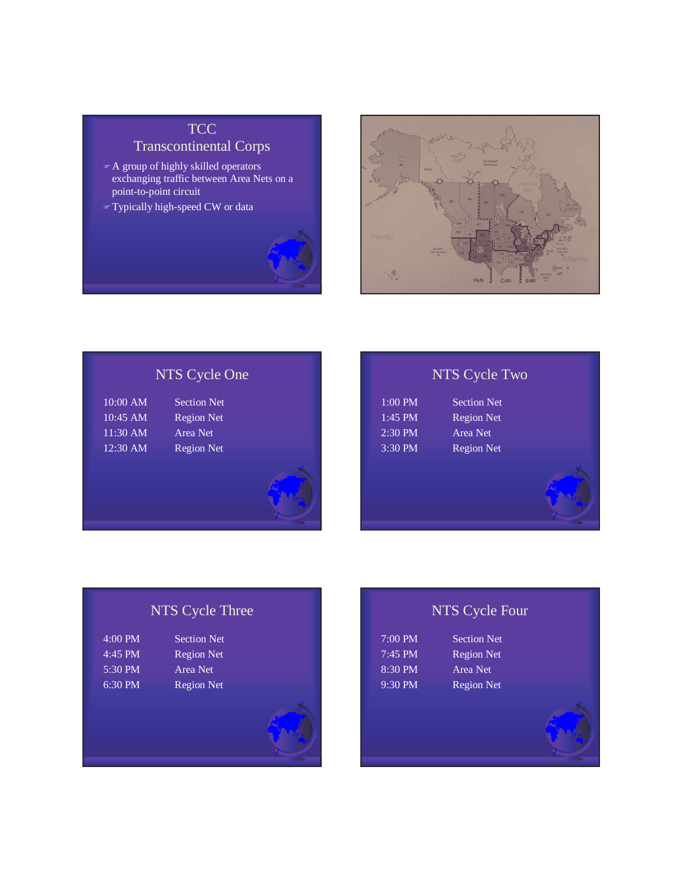# **TCC**

Transcontinental Corps

- A group of highly skilled operators exchanging traffic between Area Nets on a point-to-point circuit
- Typically high-speed CW or data





# NTS Cycle One

| 10:00 AM   | Section Net       |
|------------|-------------------|
| $10:45$ AM | <b>Region Net</b> |
| 11:30 AM   | Area Net          |
| $12:30$ AM | <b>Region Net</b> |

# NTS Cycle Two

| $:00$ PM | <b>Section Net</b> |
|----------|--------------------|
| :45 PM   | <b>Region Net</b>  |
| $:30$ PM | Area Net           |
| $:30$ PM | <b>Region Net</b>  |
|          |                    |

<sup>2</sup> Met Net <sup>3</sup> Met

# NTS Cycle Three

| $4:00 \text{ PM}$ | <b>Section Net</b> |
|-------------------|--------------------|
| $4:45$ PM         | <b>Region Net</b>  |
| $5:30 \text{ PM}$ | Area Net           |
| $6:30 \text{ PM}$ | <b>Region Net</b>  |
|                   |                    |



| 7:00 PM |  |
|---------|--|
| 7:45 PM |  |
| 8:30 PM |  |
| 9:30 PM |  |

Section Net Region Net Area Net Region Net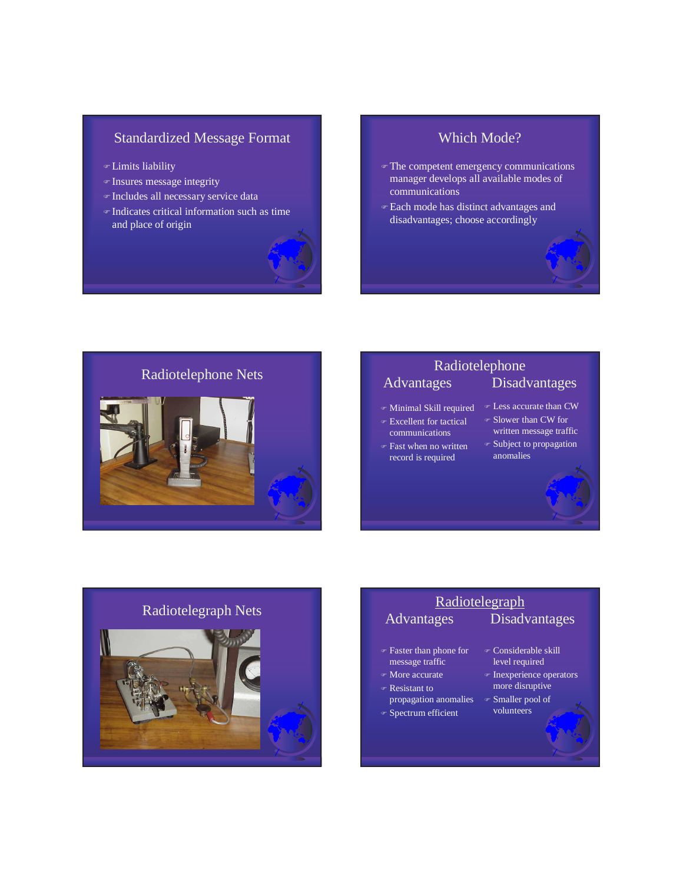## Standardized Message Format

- Limits liability
- Insures message integrity
- Includes all necessary service data
- Indicates critical information such as time and place of origin



#### Which Mode?

- The competent emergency communications manager develops all available modes of communications
- Each mode has distinct advantages and disadvantages; choose accordingly



## Radiotelephone Nets<br>
Radiotelephone Nets<br>
Advantages Disad<sup>,</sup> Disadvantages

- 
- Excellent for tactical
- communications
- Fast when no written record is required
- Minimal Skill required Less accurate than CW Slower than CW for
	- written message traffic Subject to propagation
	- anomalies



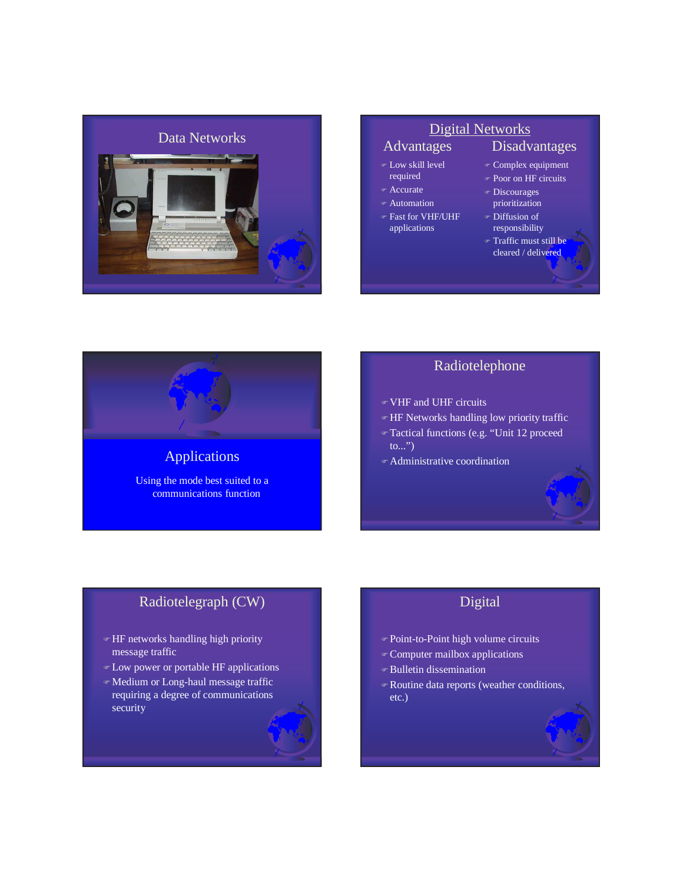

#### Low skill level

- required
- Accurate
- Automation
- Fast for VHF/UHF applications
	- responsibility
		- Traffic must still be cleared / delivered

Disadvantages

 Complex equipment Poor on HF circuits Discourages prioritization Diffusion of



# Applications Using the mode best suited to a

communications function

### Radiotelephone

- VHF and UHF circuits
- HF Networks handling low priority traffic
- Tactical functions (e.g. "Unit 12 proceed to...")
- Administrative coordination

## Radiotelegraph (CW)

- HF networks handling high priority message traffic
- Low power or portable HF applications
- Medium or Long-haul message traffic requiring a degree of communications security

## Digital

- Point-to-Point high volume circuits
- Computer mailbox applications
- Bulletin dissemination
- Routine data reports (weather conditions, etc.)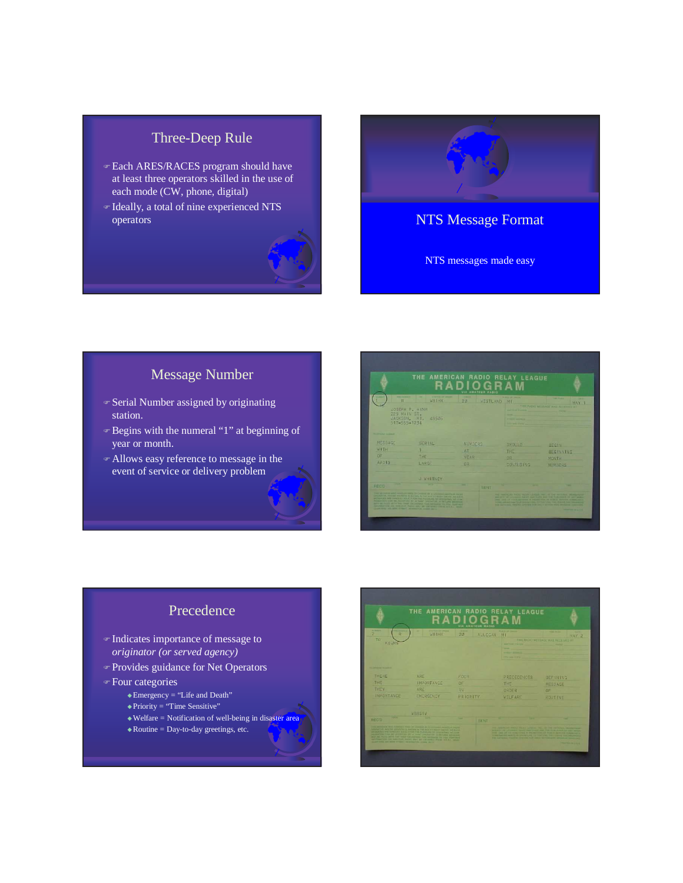## Three-Deep Rule

- **Each ARES/RACES program should have** at least three operators skilled in the use of each mode (CW, phone, digital)
- Ideally, a total of nine experienced NTS operators and the contract of the contract of the contract of the contract of the contract of the contract of the contract of the contract of the contract of the contract of the contract of the contract of the contract of



NTS messages made easy

## Message Number

- Serial Number assigned by originating station.
- Begins with the numeral "1" at beginning of year or month.
- Allows easy reference to message in the event of service or delivery problem



### Precedence

- Indicates importance of message to *originator (or served agency)*
- Provides guidance for Net Operators
- Four categories
	- -Emergency = "Life and Death"
	- -Priority = "Time Sensitive"
	- $\triangle$  Welfare = Notification of well-being in disaster area
	- $\triangleleft$  Routine = Day-to-day greetings, etc.

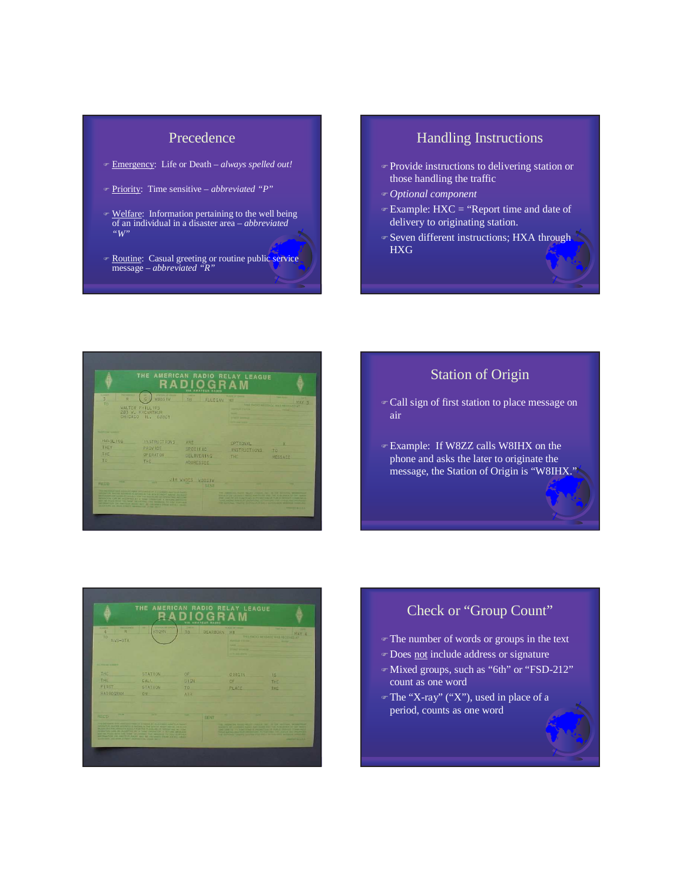#### Precedence

- Emergency: Life or Death *always spelled out!*
- Priority: Time sensitive *abbreviated "P"*
- **Welfare:** Information pertaining to the well being of an individual in a disaster area – *abbreviated "W"*
- **Routine:** Casual greeting or routine public service message – *abbreviated "R"*

### Handling Instructions

- Provide instructions to delivering station or those handling the traffic
- *Optional component*
- $\in$  Example: HXC = "Report time and date of delivery to originating station.
- ⊕ Seven different instructions; HXA through HXG



## Station of Origin

- Call sign of first station to place message on air
- Example: If W8ZZ calls W8IHX on the phone and asks the later to originate the message, the Station of Origin is "W8IHX."



## Check or "Group Count"

- The number of words or groups in the text
- **Does** not include address or signature
- Mixed groups, such as "6th" or "FSD-212" count as one word
- $\mathcal{F}$ The "X-ray" ("X"), used in place of a period, counts as one word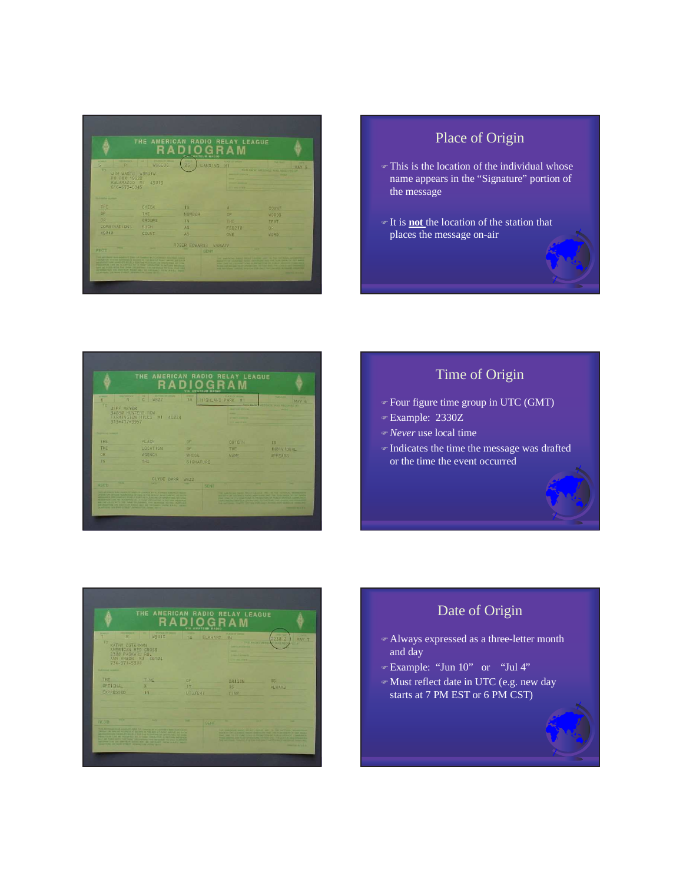|                                                                                                                             | THE AMERICAN RADIO RELAY LEAGUE                                                                                                                                                                                                                                                                                                                                                                                            |        | <b>PLA CHATELLI BARIO</b> |                                                         |                                                                                                                                                                                                                                                                                                                                                                                                         |            |
|-----------------------------------------------------------------------------------------------------------------------------|----------------------------------------------------------------------------------------------------------------------------------------------------------------------------------------------------------------------------------------------------------------------------------------------------------------------------------------------------------------------------------------------------------------------------|--------|---------------------------|---------------------------------------------------------|---------------------------------------------------------------------------------------------------------------------------------------------------------------------------------------------------------------------------------------------------------------------------------------------------------------------------------------------------------------------------------------------------------|------------|
| <b>HARTSBERGER</b><br><b>ACCORD</b><br>5<br>o<br>TO<br><b>JIM WADES</b><br>PO 80X 19822<br><b>KALAMAZOO</b><br>616-673-8845 | w<br>WOBEOC<br>WRAS IW<br>49319<br>M <sub>1</sub>                                                                                                                                                                                                                                                                                                                                                                          | 25     | LANSING                   | <b>PLACE UP CRUISE</b><br>MI<br><b>Professor of Mar</b> | <b>SALES</b><br>THIS RACKY AN WANTED WAS ARRESTED AT                                                                                                                                                                                                                                                                                                                                                    | ╍<br>MAY 5 |
| <b>No. A rest fluir to Adapt</b>                                                                                            |                                                                                                                                                                                                                                                                                                                                                                                                                            |        |                           |                                                         |                                                                                                                                                                                                                                                                                                                                                                                                         |            |
| THE                                                                                                                         | CHECK                                                                                                                                                                                                                                                                                                                                                                                                                      | ns.    |                           |                                                         | COUNT                                                                                                                                                                                                                                                                                                                                                                                                   |            |
| OF                                                                                                                          | THE                                                                                                                                                                                                                                                                                                                                                                                                                        | NUMBER |                           | 0 <sub>E</sub>                                          | WORDS                                                                                                                                                                                                                                                                                                                                                                                                   |            |
| GR                                                                                                                          | <b>GROUPS</b>                                                                                                                                                                                                                                                                                                                                                                                                              | m      |                           | THE                                                     | TEXT                                                                                                                                                                                                                                                                                                                                                                                                    |            |
| COMBINATIONS                                                                                                                | SUCH                                                                                                                                                                                                                                                                                                                                                                                                                       | AS:    |                           | <b>FS0210</b>                                           | OR                                                                                                                                                                                                                                                                                                                                                                                                      |            |
| 49818                                                                                                                       | COUNT                                                                                                                                                                                                                                                                                                                                                                                                                      | AS:    |                           | ONE                                                     | <b>WORD</b>                                                                                                                                                                                                                                                                                                                                                                                             |            |
|                                                                                                                             |                                                                                                                                                                                                                                                                                                                                                                                                                            |        | ROGER EDVARDS WBBWJV      |                                                         |                                                                                                                                                                                                                                                                                                                                                                                                         |            |
| . .<br><b>REOD</b>                                                                                                          |                                                                                                                                                                                                                                                                                                                                                                                                                            |        | SENT                      |                                                         |                                                                                                                                                                                                                                                                                                                                                                                                         |            |
| DOARTERS 215 MAN 217027, Interview The Count decise                                                                         | THE MELLAND WAS ARRESTED FOR OUR COMPANY BY A LICENSED AND FEED AND CO.<br>ANALYSK WEEKE SCHEDULE BICONTIN FOR BOX AT POINT BROVE AS SLADE<br>sentiating and seem on active now for warranted or resources) and then<br>PERSONAL CAR AR ACCORDED by a many presention is nothing among an<br>sent an ALES WON THE MAN TALAS TWO SERVED AND TOTAL HURTINES.<br>INCOME THE CALCULUS WALL AND IN CHARGE AWAY AWAY A REAL WALL |        |                           |                                                         | ted auditorial Assal House Lincoln and Ja The Antichol artisticity<br>Specialize the LACKWood Rocher and traded door your factor plans are seen to be<br>THE 1992 PP I'LL PUNCTIONS IS PHONE THE 24 HOME BETWEEN THE WEXT<br>These approximates that constant the first limit. The result and the construc-<br>the model and the control of the control of the company with \$12 miles of the Catalogue | -------    |

## Place of Origin

- This is the location of the individual whose name appears in the "Signature" portion of the message
- It is **not** the location of the station that places the message on-air



## Time of Origin

- Four figure time group in UTC (GMT)
- Example: 2330Z
- *Never* use local time
- Indicates the time the message was drafted or the time the event occurred



## Date of Origin

- Always expressed as a three-letter month and day
- Example: "Jun 10" or "Jul 4"
- Must reflect date in UTC (e.g. new day starts at 7 PM EST or 6 PM CST)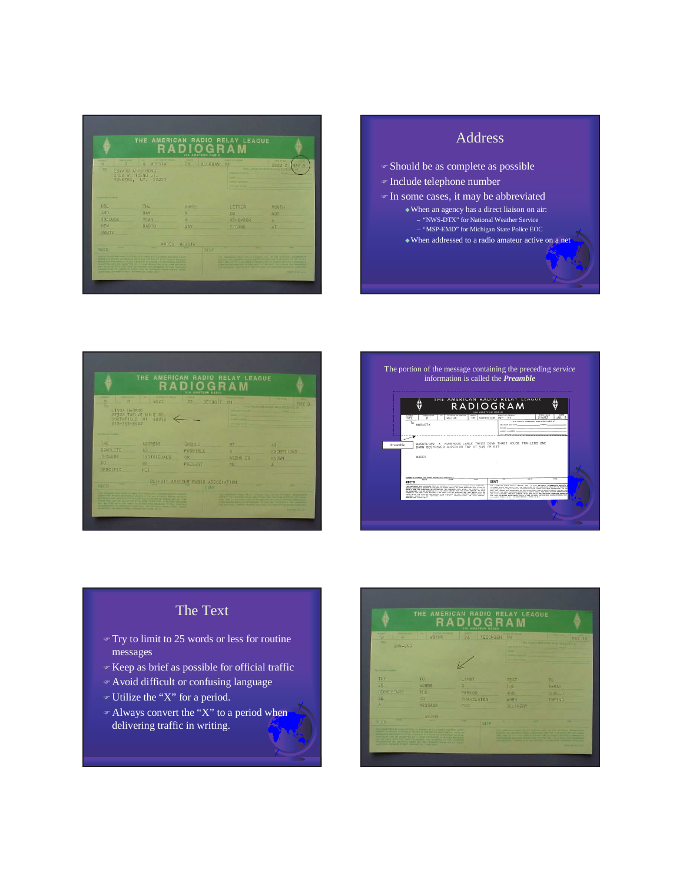|                                                                 | THE AMERICAN RADIO RELAY LEAGUE                                                                                                                                                                                                                                                                                                                                                                                                                                                           |            | <b>VIA AMATEUR RADIO</b> |                                                                                                 |                                                                                                                                                                                                                                                                                                                                                                                                                        |
|-----------------------------------------------------------------|-------------------------------------------------------------------------------------------------------------------------------------------------------------------------------------------------------------------------------------------------------------------------------------------------------------------------------------------------------------------------------------------------------------------------------------------------------------------------------------------|------------|--------------------------|-------------------------------------------------------------------------------------------------|------------------------------------------------------------------------------------------------------------------------------------------------------------------------------------------------------------------------------------------------------------------------------------------------------------------------------------------------------------------------------------------------------------------------|
| <b><i><u>PACKAGE</u></i></b><br><b>ALCOHOL:</b><br>a<br>R<br>TO | <b>PTATEMENT INCOME</b><br>٠<br>G<br>WBBS IW<br><b>EDVARD ARMSTRONG</b><br>2120 W. 132ND ST.<br>YONKERS, NY. 20021                                                                                                                                                                                                                                                                                                                                                                        | 21         | <b>ALLEGAN</b>           | PLAZE OF DRIVE<br>MI<br><b>HALLMARK</b><br><b><i>START &amp; MOTOR</i></b><br><b>CONTRACTOR</b> | <b>Fast FLEX</b><br>32日正 2<br>MAY B<br>THIS BADIO METODIALE WAS RECE                                                                                                                                                                                                                                                                                                                                                   |
| <b>INTERNATIONAL BULLERIES</b>                                  |                                                                                                                                                                                                                                                                                                                                                                                                                                                                                           |            |                          |                                                                                                 |                                                                                                                                                                                                                                                                                                                                                                                                                        |
| USE                                                             | THE                                                                                                                                                                                                                                                                                                                                                                                                                                                                                       | THREE      |                          | LETTER                                                                                          | MONTH                                                                                                                                                                                                                                                                                                                                                                                                                  |
| <b>AND</b>                                                      | DAY                                                                                                                                                                                                                                                                                                                                                                                                                                                                                       |            |                          | 00                                                                                              | NOT                                                                                                                                                                                                                                                                                                                                                                                                                    |
| <b>INCLUDE</b>                                                  | <b>YEAR</b>                                                                                                                                                                                                                                                                                                                                                                                                                                                                               |            |                          | REMEMBER                                                                                        |                                                                                                                                                                                                                                                                                                                                                                                                                        |
| <b>NEW</b><br><b>8081Z</b>                                      | <b>RADIO</b>                                                                                                                                                                                                                                                                                                                                                                                                                                                                              | <b>DAY</b> |                          | <b>BEGINS</b>                                                                                   | <b>AT</b>                                                                                                                                                                                                                                                                                                                                                                                                              |
|                                                                 | WADES                                                                                                                                                                                                                                                                                                                                                                                                                                                                                     | WBBS I'W   |                          |                                                                                                 |                                                                                                                                                                                                                                                                                                                                                                                                                        |
| m<br>RECO                                                       |                                                                                                                                                                                                                                                                                                                                                                                                                                                                                           |            | <b>SENT</b>              |                                                                                                 |                                                                                                                                                                                                                                                                                                                                                                                                                        |
|                                                                 | THE RESERVE WELFARE THE TWO PARTS IN A LETTERS AND LUXURE<br>provided the world's according of teacher to that and all before agenet warranty<br>MESSAGES AND AMOUNTS MOUSE POR THE PACKAGING ON DIVISIONS AND CON-<br>primarings can be accorated as a bank creation a serious anticola<br>and his start with the bare of contrast this against to visit motivent<br>APOMATON IN ANNIUN NANC NOT BE OFFICED FROM A R.S. . MORE<br>CATANTISTIC TEM ALANT STAGET, INCOME TOOL COUNT ARTIST |            |                          |                                                                                                 | THE ANNUAL THEFT AREAS LEADER INC. IN THE ENTIRE ADVISORS<br>KIND TO OF LETANS IT WANT THAT FURL AND THE FORD DIARE OF DETAILS.<br>2004 / One 29' PE PLAN 22 MILE PROMETTER OF PLAN & SEPARA COMMANDS.<br>the second complete the formula control to the second control of the control of the complete of<br>that additional manying provided that you I distributional and hands some and<br><b>POINT OF BUILDING</b> |

# Address Should be as complete as possible Include telephone number In some cases, it may be abbreviated -When an agency has a direct liaison on air: – "NWS-DTX" for National Weather Service – "MSP-EMD" for Michigan State Police EOC -When addressed to a radio amateur active on a net





## The Text

- $\mathcal{F}$  Try to limit to 25 words or less for routine messages
- Keep as brief as possible for official traffic
- Avoid difficult or confusing language
- Utilize the "X" for a period.
- $\in$  Always convert the "X" to a period when delivering traffic in writing.

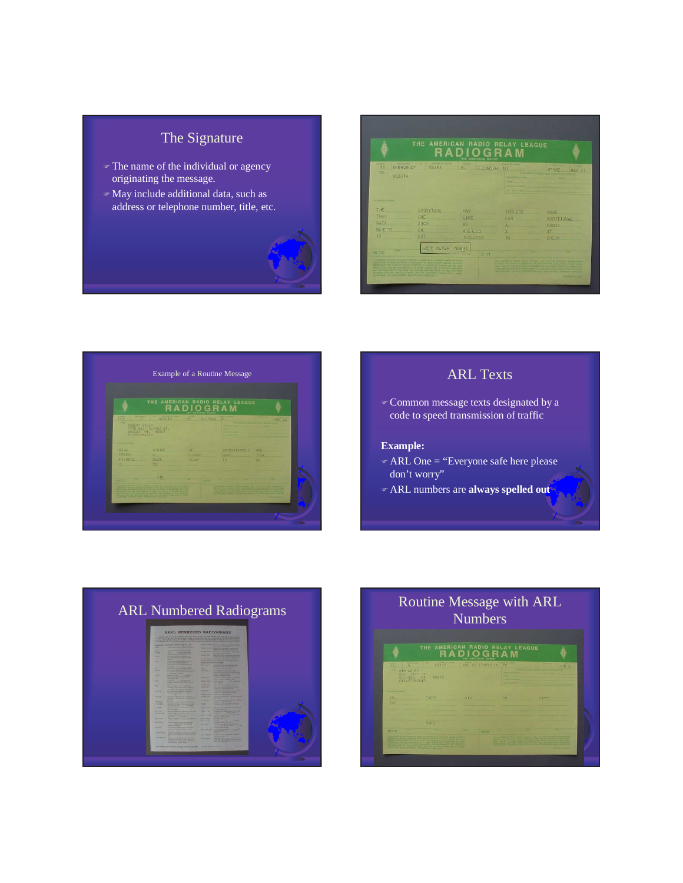## The Signature

- The name of the individual or agency originating the message.
- May include additional data, such as address or telephone number, title, etc.



|                                                                                                                                                                                                                                                                                                                                                                                                                                                       |                                                          |                                                |                | <b>VIA AMATEUR HADIO</b> | THE AMERICAN RADIO RELAY LEAGUE                                                                               |                                                                                                                                                                                                                                                                                                                                                                                                          |
|-------------------------------------------------------------------------------------------------------------------------------------------------------------------------------------------------------------------------------------------------------------------------------------------------------------------------------------------------------------------------------------------------------------------------------------------------------|----------------------------------------------------------|------------------------------------------------|----------------|--------------------------|---------------------------------------------------------------------------------------------------------------|----------------------------------------------------------------------------------------------------------------------------------------------------------------------------------------------------------------------------------------------------------------------------------------------------------------------------------------------------------------------------------------------------------|
| <b>STATISTICS</b><br>111<br>TO<br><b>WBBSTW</b>                                                                                                                                                                                                                                                                                                                                                                                                       | EMERGENCY                                                | <b>Call Public Concernment</b><br><b>NBAHA</b> | $25 -$         | TECUMBER                 | <b>PLACE OF DESIGN</b><br>2.1<br>And Is all Links and Company and<br><b>CONTRACTOR</b><br>The second state of | <b>The Property</b><br>82182<br>MAY 11<br>THIS RADIO MESSAGE WAS RICE VED AT                                                                                                                                                                                                                                                                                                                             |
| <b>The Company's the American</b>                                                                                                                                                                                                                                                                                                                                                                                                                     |                                                          |                                                |                |                          |                                                                                                               |                                                                                                                                                                                                                                                                                                                                                                                                          |
| 下日片                                                                                                                                                                                                                                                                                                                                                                                                                                                   |                                                          | <b>SIGNATURE</b>                               | MAY            |                          | INGLUDE                                                                                                       | <b>MORE</b>                                                                                                                                                                                                                                                                                                                                                                                              |
| THAN                                                                                                                                                                                                                                                                                                                                                                                                                                                  | ONE                                                      |                                                | LINE           |                          | <b>FOR</b>                                                                                                    | <b>AUDITIONAL</b>                                                                                                                                                                                                                                                                                                                                                                                        |
| DATA                                                                                                                                                                                                                                                                                                                                                                                                                                                  | <b>SUCH</b>                                              |                                                | <b>AS</b>      |                          |                                                                                                               | PHONE                                                                                                                                                                                                                                                                                                                                                                                                    |
| <b>NUMBER</b>                                                                                                                                                                                                                                                                                                                                                                                                                                         | OR                                                       |                                                | <b>ADDRESS</b> |                          |                                                                                                               | īт                                                                                                                                                                                                                                                                                                                                                                                                       |
| <b>IS</b>                                                                                                                                                                                                                                                                                                                                                                                                                                             | NOT                                                      |                                                | INGLUDED       |                          | HN.                                                                                                           | GHECK                                                                                                                                                                                                                                                                                                                                                                                                    |
| -                                                                                                                                                                                                                                                                                                                                                                                                                                                     |                                                          | JEFF MEYER NBAHA                               |                |                          |                                                                                                               |                                                                                                                                                                                                                                                                                                                                                                                                          |
| RECD                                                                                                                                                                                                                                                                                                                                                                                                                                                  |                                                          |                                                |                | SENT                     |                                                                                                               |                                                                                                                                                                                                                                                                                                                                                                                                          |
| THE BEST WAS THE THE TOTAL OF CHARGE BY A LICENSE AMOUNT FOR THE<br>preduction several accredit of process in the arts of sound anchor and purch.<br>AN MOUTH AND SHARLEST MILAS P FOR THE PLANSING CA TOYON FIND AND TESH<br>PENSATURE CAN BE PECURITED AV & MAN' OPERATOR, A WORLDWI MESSAGE<br>addy and results we the first made tracer than even bettilled at the state incorporal<br>AUTOMOTIVE ON SHATCH WANT BAY OF CETARET, FROM A R.R. THAT | ILLIARDANE, 2002 GLAAS STORET, RECHARGED & CORRE ARCH ?- |                                                |                |                          |                                                                                                               | the Assemblat AADO Motor Links as a the saliday experiment<br>and all the contemporary former probabilities were the first month of Auto service<br>yes, you on the statement is required at AULO structure consumers.<br>THE MOVE OF THE PROPERTY OF PERSONAL PROPERTY OF THE STATE OF THE CHANNEL<br>For address, thorne priving rost part her center actional specials.<br><b>Shower Street, Sale</b> |



 Common message texts designated by a code to speed transmission of traffic

#### **Example:**

- ARL One = "Everyone safe here please don't worry"
- ARL numbers are **always spelled out**



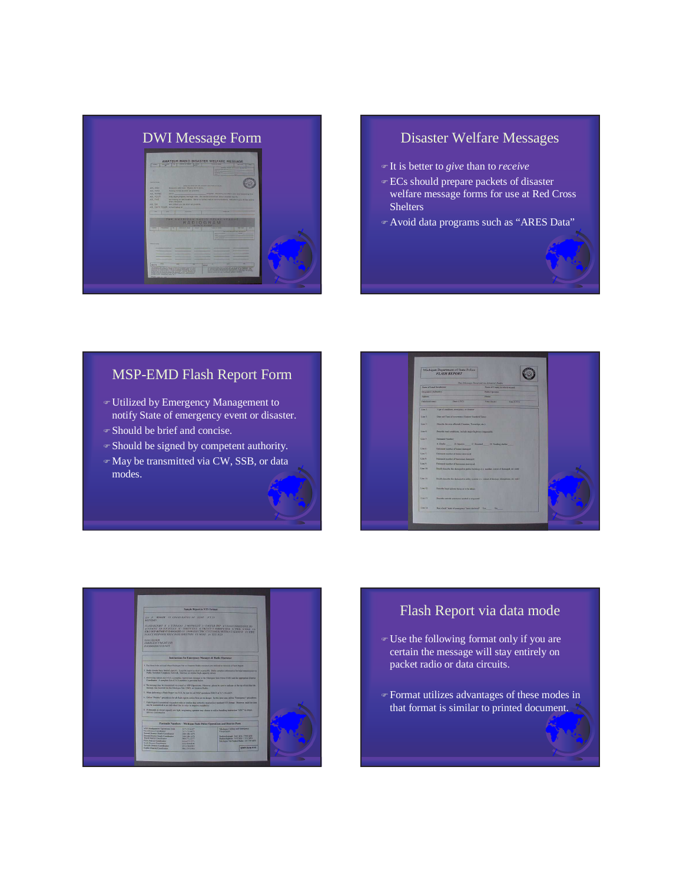

O

## DWI Message Form Disaster Welfare Messages

- It is better to *give* than to *receive*
- ECs should prepare packets of disaster welfare message forms for use at Red Cross Shelters
- Avoid data programs such as "ARES Data"

### MSP-EMD Flash Report Form

- Utilized by Emergency Management to notify State of emergency event or disaster.
- Should be brief and concise.
- Should be signed by competent authority.
- May be transmitted via CW, SSB, or data modes.





### Flash Report via data mode

- Use the following format only if you are certain the message will stay entirely on packet radio or data circuits.
- Format utilizes advantages of these modes in that format is similar to printed document.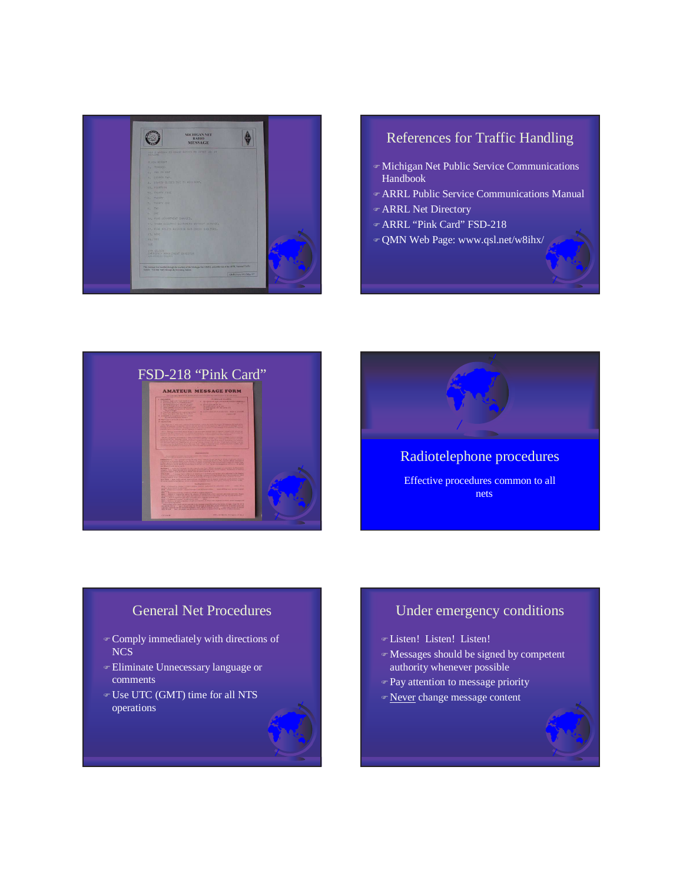

## References for Traffic Handling

- Michigan Net Public Service Communications Handbook
- ARRL Public Service Communications Manual
- ARRL Net Directory
- ARRL "Pink Card" FSD-218
- QMN Web Page: www.qsl.net/w8ihx/





## Radiotelephone procedures Effective procedures common to all nets

## General Net Procedures

- Comply immediately with directions of NCS
- Eliminate Unnecessary language or comments
- Use UTC (GMT) time for all NTS operations

## Under emergency conditions

- Listen! Listen! Listen!
- Messages should be signed by competent authority whenever possible
- **Pay attention to message priority**
- Never change message content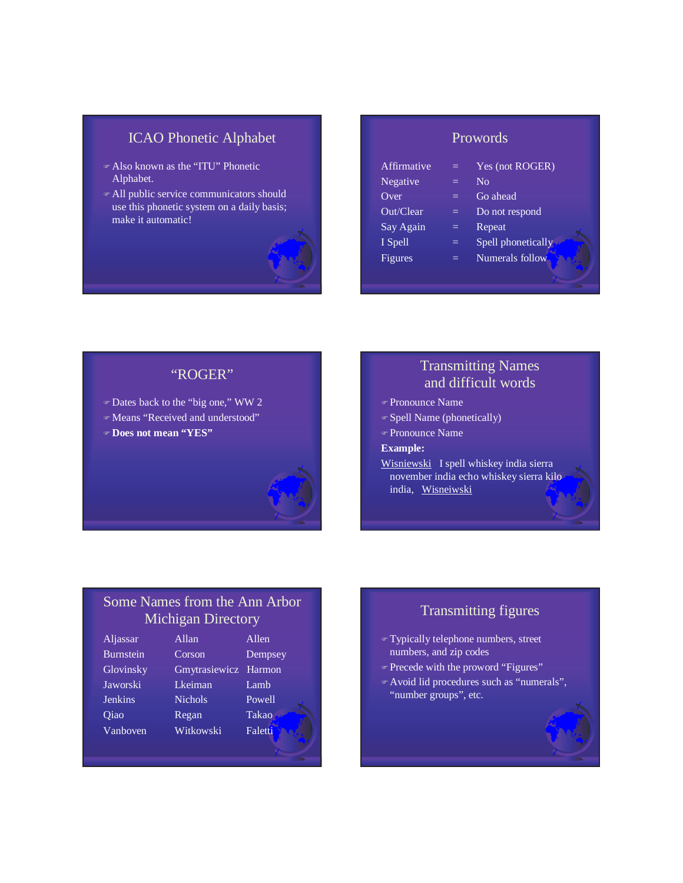## ICAO Phonetic Alphabet

- Also known as the "ITU" Phonetic Alphabet.
- All public service communicators should use this phonetic system on a daily basis; make it automatic!



### Prowords

| Affirmative | =   | Yes (not ROGER)    |
|-------------|-----|--------------------|
| Negative    | $=$ | $\rm No$           |
| Over        | $=$ | Go ahead           |
| Out/Clear   | =   | Do not respond     |
| Say Again   | $=$ | Repeat             |
| I Spell     | $=$ | Spell phonetically |
| Figures     |     | Numerals follow    |
|             |     |                    |

#### "ROGER"

- Dates back to the "big one," WW 2
- Means "Received and understood"
- **Does not mean "YES"**

## Transmitting Names and difficult words

- Pronounce Name
- Spell Name (phonetically)
- Pronounce Name
- **Example:**
- Wisniewski I spell whiskey india sierra november india echo whiskey sierra kilo india, Wisneiwski

## Some Names from the Ann Arbor Michigan Directory

| Aljassar         | Allan          | Allen   |
|------------------|----------------|---------|
| <b>Burnstein</b> | Corson         | Dempsey |
| Glovinsky        | Gmytrasiewicz  | Harmon  |
| Jaworski         | Lkeiman        | Lamb    |
| <b>Jenkins</b>   | <b>Nichols</b> | Powell  |
| Qiao             | Regan          | Takao   |
| Vanboven         | Witkowski      | Faletti |

## Transmitting figures

- Typically telephone numbers, street numbers, and zip codes
- Precede with the proword "Figures"
- Avoid lid procedures such as "numerals", "number groups", etc.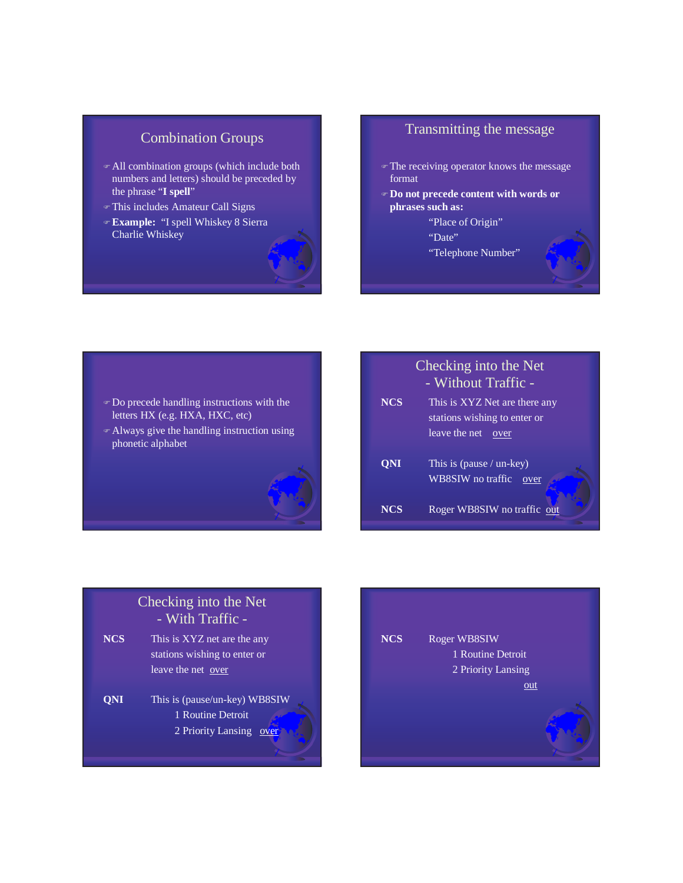## Combination Groups

- All combination groups (which include both numbers and letters) should be preceded by the phrase "**I spell**"
- This includes Amateur Call Signs
- **Example:** "I spell Whiskey 8 Sierra Charlie Whiskey



#### Transmitting the message

- The receiving operator knows the message format
- **Do not precede content with words or phrases such as:**
	- "Place of Origin"
	- "Date"
	- "Telephone Number"

- Do precede handling instructions with the letters HX (e.g. HXA, HXC, etc)
- Always give the handling instruction using phonetic alphabet



# Checking into the Net - With Traffic - **NCS** This is XYZ net are the any stations wishing to enter or leave the net over **QNI** This is (pause/un-key) WB8SIW 1 Routine Detroit 2 Priority Lansing over

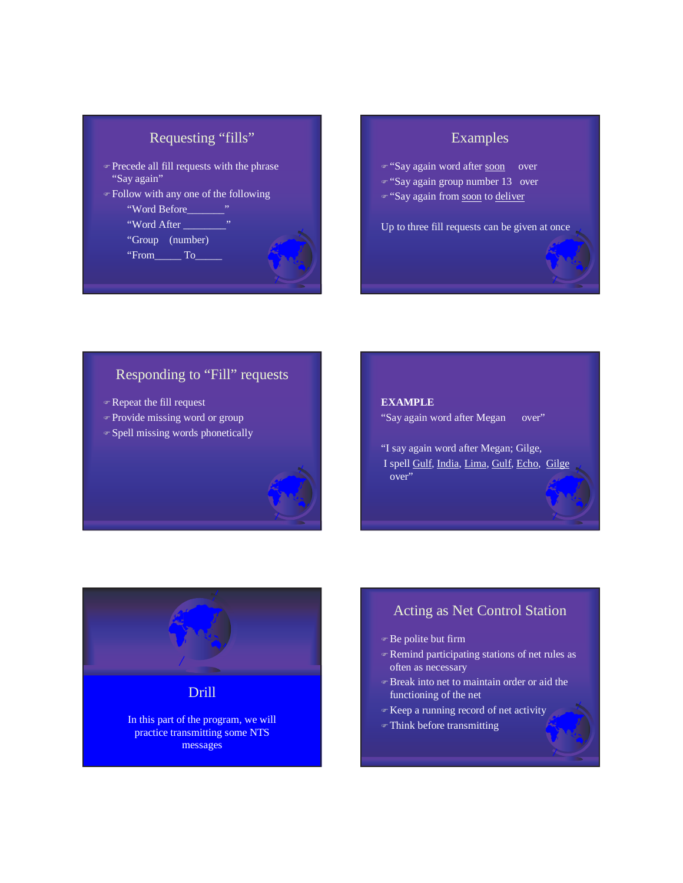| Requesting "fills" |  |
|--------------------|--|
|                    |  |

- Precede all fill requests with the phrase "Say again"
- Follow with any one of the following



## Examples

- "Say again word after soon over
- "Say again group number 13 over
- "Say again from soon to deliver

Up to three fill requests can be given at once

## Responding to "Fill" requests

- Repeat the fill request
- Provide missing word or group
- Spell missing words phonetically

#### **EXAMPLE**

- "Say again word after Megan over"
- "I say again word after Megan; Gilge, I spell Gulf, India, Lima, Gulf, Echo, Gilge over"

## Drill

In this part of the program, we will practice transmitting some NTS messages

## Acting as Net Control Station

- Be polite but firm
- Remind participating stations of net rules as often as necessary
- Break into net to maintain order or aid the functioning of the net
- Keep a running record of net activity
- Think before transmitting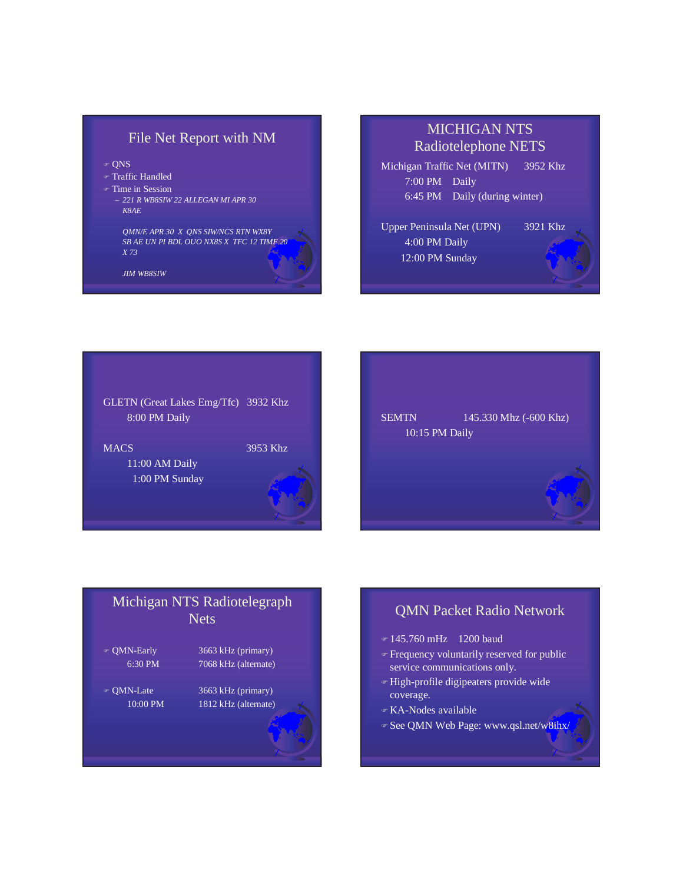## File Net Report with NM

- $\circ$  ONS
- Traffic Handled
- Time in Session
	- *221 R WB8SIW 22 ALLEGAN MI APR 30 K8AE*

*QMN/E APR 30 X QNS SIW/NCS RTN WX8Y SB AE UN PI BDL OUO NX8S X TFC 12 TIME 20 X 73*

*JIM WB8SIW*

## MICHIGAN NTS Radiotelephone NETS

Michigan Traffic Net (MITN) 3952 Khz 7:00 PM Daily 6:45 PM Daily (during winter)

Upper Peninsula Net (UPN) 3921 Khz 4:00 PM Daily 12:00 PM Sunday



SEMTN 145.330 Mhz (-600 Khz) 10:15 PM Daily

# Michigan NTS Radiotelegraph Nets QMN-Early 3663 kHz (primary) 6:30 PM 7068 kHz (alternate) QMN-Late 3663 kHz (primary)

10:00 PM 1812 kHz (alternate)

## QMN Packet Radio Network

- 145.760 mHz 1200 baud
- **Frequency voluntarily reserved for public** service communications only.
- High-profile digipeaters provide wide coverage.
- KA-Nodes available
- Given See QMN Web Page: www.qsl.net/w8ihx/